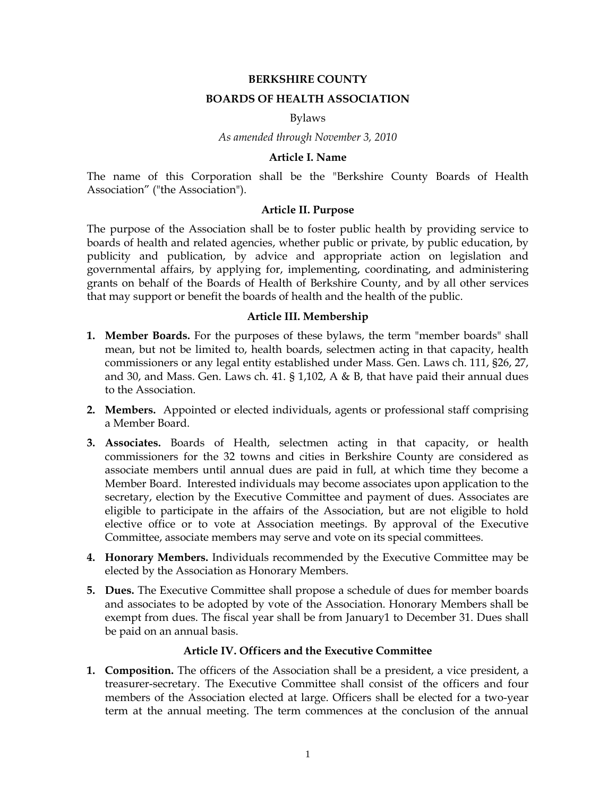#### **BERKSHIRE COUNTY**

### **BOARDS OF HEALTH ASSOCIATION**

#### Bylaws

*As amended through November 3, 2010*

### **Article I. Name**

The name of this Corporation shall be the "Berkshire County Boards of Health Association" ("the Association").

## **Article II. Purpose**

The purpose of the Association shall be to foster public health by providing service to boards of health and related agencies, whether public or private, by public education, by publicity and publication, by advice and appropriate action on legislation and governmental affairs, by applying for, implementing, coordinating, and administering grants on behalf of the Boards of Health of Berkshire County, and by all other services that may support or benefit the boards of health and the health of the public.

#### **Article III. Membership**

- **1. Member Boards.** For the purposes of these bylaws, the term "member boards" shall mean, but not be limited to, health boards, selectmen acting in that capacity, health commissioners or any legal entity established under Mass. Gen. Laws ch. 111, §26, 27, and 30, and Mass. Gen. Laws ch. 41. § 1,102, A & B, that have paid their annual dues to the Association.
- **2. Members.** Appointed or elected individuals, agents or professional staff comprising a Member Board.
- **3. Associates.** Boards of Health, selectmen acting in that capacity, or health commissioners for the 32 towns and cities in Berkshire County are considered as associate members until annual dues are paid in full, at which time they become a Member Board. Interested individuals may become associates upon application to the secretary, election by the Executive Committee and payment of dues. Associates are eligible to participate in the affairs of the Association, but are not eligible to hold elective office or to vote at Association meetings. By approval of the Executive Committee, associate members may serve and vote on its special committees.
- **4. Honorary Members.** Individuals recommended by the Executive Committee may be elected by the Association as Honorary Members.
- **5. Dues.** The Executive Committee shall propose a schedule of dues for member boards and associates to be adopted by vote of the Association. Honorary Members shall be exempt from dues. The fiscal year shall be from January1 to December 31. Dues shall be paid on an annual basis.

#### **Article IV. Officers and the Executive Committee**

**1. Composition.** The officers of the Association shall be a president, a vice president, a treasurer-secretary. The Executive Committee shall consist of the officers and four members of the Association elected at large. Officers shall be elected for a two-year term at the annual meeting. The term commences at the conclusion of the annual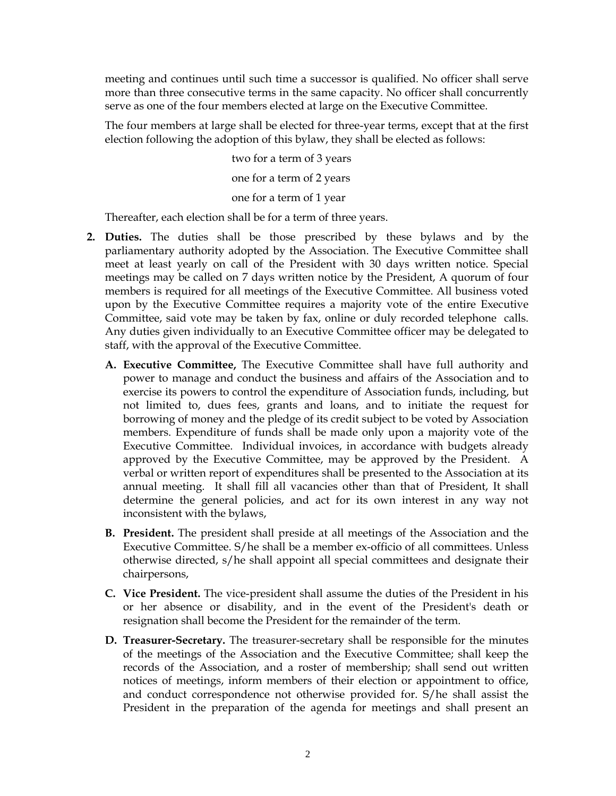meeting and continues until such time a successor is qualified. No officer shall serve more than three consecutive terms in the same capacity. No officer shall concurrently serve as one of the four members elected at large on the Executive Committee.

The four members at large shall be elected for three-year terms, except that at the first election following the adoption of this bylaw, they shall be elected as follows:

> two for a term of 3 years one for a term of 2 years one for a term of 1 year

Thereafter, each election shall be for a term of three years.

- **2. Duties.** The duties shall be those prescribed by these bylaws and by the parliamentary authority adopted by the Association. The Executive Committee shall meet at least yearly on call of the President with 30 days written notice. Special meetings may be called on 7 days written notice by the President, A quorum of four members is required for all meetings of the Executive Committee. All business voted upon by the Executive Committee requires a majority vote of the entire Executive Committee, said vote may be taken by fax, online or duly recorded telephone calls. Any duties given individually to an Executive Committee officer may be delegated to staff, with the approval of the Executive Committee.
	- **A. Executive Committee,** The Executive Committee shall have full authority and power to manage and conduct the business and affairs of the Association and to exercise its powers to control the expenditure of Association funds, including, but not limited to, dues fees, grants and loans, and to initiate the request for borrowing of money and the pledge of its credit subject to be voted by Association members. Expenditure of funds shall be made only upon a majority vote of the Executive Committee. Individual invoices, in accordance with budgets already approved by the Executive Committee, may be approved by the President. A verbal or written report of expenditures shall be presented to the Association at its annual meeting. It shall fill all vacancies other than that of President, It shall determine the general policies, and act for its own interest in any way not inconsistent with the bylaws,
	- **B. President.** The president shall preside at all meetings of the Association and the Executive Committee. S/he shall be a member ex-officio of all committees. Unless otherwise directed, s/he shall appoint all special committees and designate their chairpersons,
	- **C. Vice President.** The vice-president shall assume the duties of the President in his or her absence or disability, and in the event of the President's death or resignation shall become the President for the remainder of the term.
	- **D. Treasurer-Secretary.** The treasurer-secretary shall be responsible for the minutes of the meetings of the Association and the Executive Committee; shall keep the records of the Association, and a roster of membership; shall send out written notices of meetings, inform members of their election or appointment to office, and conduct correspondence not otherwise provided for. S/he shall assist the President in the preparation of the agenda for meetings and shall present an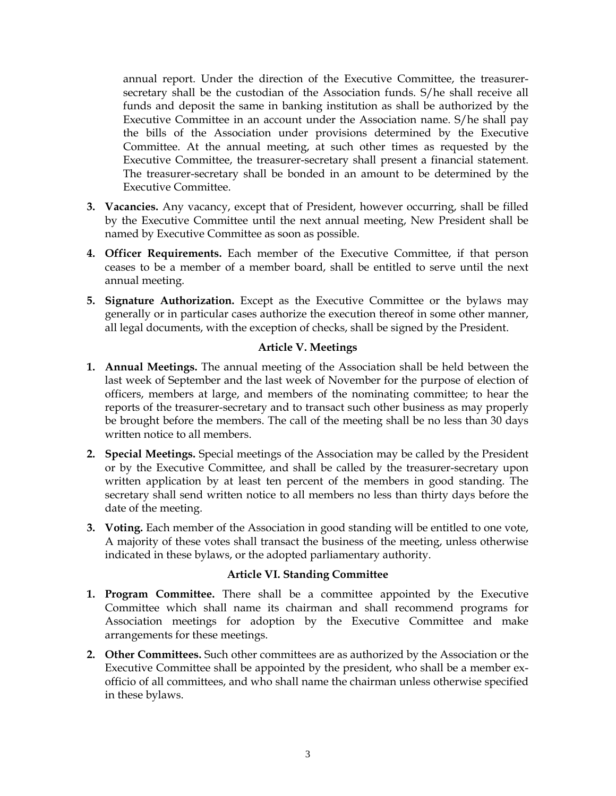annual report. Under the direction of the Executive Committee, the treasurersecretary shall be the custodian of the Association funds. S/he shall receive all funds and deposit the same in banking institution as shall be authorized by the Executive Committee in an account under the Association name. S/he shall pay the bills of the Association under provisions determined by the Executive Committee. At the annual meeting, at such other times as requested by the Executive Committee, the treasurer-secretary shall present a financial statement. The treasurer-secretary shall be bonded in an amount to be determined by the Executive Committee.

- **3. Vacancies.** Any vacancy, except that of President, however occurring, shall be filled by the Executive Committee until the next annual meeting, New President shall be named by Executive Committee as soon as possible.
- **4. Officer Requirements.** Each member of the Executive Committee, if that person ceases to be a member of a member board, shall be entitled to serve until the next annual meeting.
- **5. Signature Authorization.** Except as the Executive Committee or the bylaws may generally or in particular cases authorize the execution thereof in some other manner, all legal documents, with the exception of checks, shall be signed by the President.

## **Article V. Meetings**

- **1. Annual Meetings.** The annual meeting of the Association shall be held between the last week of September and the last week of November for the purpose of election of officers, members at large, and members of the nominating committee; to hear the reports of the treasurer-secretary and to transact such other business as may properly be brought before the members. The call of the meeting shall be no less than 30 days written notice to all members.
- **2. Special Meetings.** Special meetings of the Association may be called by the President or by the Executive Committee, and shall be called by the treasurer-secretary upon written application by at least ten percent of the members in good standing. The secretary shall send written notice to all members no less than thirty days before the date of the meeting.
- **3. Voting.** Each member of the Association in good standing will be entitled to one vote, A majority of these votes shall transact the business of the meeting, unless otherwise indicated in these bylaws, or the adopted parliamentary authority.

### **Article VI. Standing Committee**

- **1. Program Committee.** There shall be a committee appointed by the Executive Committee which shall name its chairman and shall recommend programs for Association meetings for adoption by the Executive Committee and make arrangements for these meetings.
- **2. Other Committees.** Such other committees are as authorized by the Association or the Executive Committee shall be appointed by the president, who shall be a member exofficio of all committees, and who shall name the chairman unless otherwise specified in these bylaws.